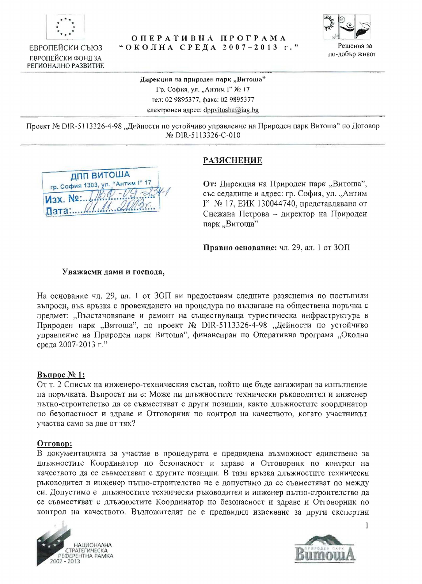

ЕВРОПЕЙСКИ СЪЮЗ ЕВРОПЕЙСКИ ФОНД ЗА **РЕГИОНАЛНО РАЗВИТИЕ** 

#### ОПЕРАТИВНА ПРОГРАМА "ОКОЛНА СРЕДА 2007-2013 г."



Дирекция на природен парк "Витоша" Гр. София, ул. "Антим Г" № 17 тел: 02 9895377, факс: 02 9895377 електронен адрес: dppvitosha@iag.bg

Проект № DIR-5113326-4-98 "Дейности по устойчиво управление на Природен парк Витоша" по Договор № DIR-5113326-C-010

**РАЗЯСНЕНИЕ** 

От: Дирекция на Природен парк "Витоша", със седалище и адрес: гр. София, ул. "Антим Г" № 17, ЕИК 130044740, представлявано от Снежана Петрова - директор на Природен парк "Витоша"

Правно основание: чл. 29, ал. 1 от ЗОП

### Уважаеми дами и господа,

**ДПП ВИТОША** 

гр. София 1303, ул. "Антим !" 17

Dara: D.I. M. 20

На основание чл. 29, ал. 1 от ЗОП ви предоставям следните разяснения по постъпили въпроси, във връзка с провеждането на процедура по възлагане на обществена поръчка с предмет: "Възстановяване и ремонт на съществуваща туристическа инфраструктура в Природен парк "Витоша", по проект № DIR-5113326-4-98 "Дейности по устойчиво управление на Природен парк Витоша", финансиран по Оперативна програма "Околна среда 2007-2013 г."

# Въпрос № 1:

От т. 2 Списък на инженеро-техническия състав, който ще бъде ангажиран за изпълнение на поръчката. Въпросът ни е: Може ли длъжностите технически ръководител и инженер пътно-строителство да се съвместяват с други позиции, както длъжностите координатор по безопастност и здраве и Отговорник по контрол на качеството, когато участникът участва само за две от тях?

### Отговор:

В документацията за участие в процедурата е предвидена възможност единствено за длъжностите Координатор по безопасност и здраве и Отговорник по контрол на качеството да се съвместяват с другите позиции. В тази връзка длъжностите технически ръководител и инженер пътно-строителство не е допустимо да се съвместяват по между си. Допустимо е длъжностите технически ръководител и инженер пътно-строителство да се съвместяват с длъжностите Координатор по безопасност и здраве и Отговорник по контрол на качеството. Възложителят не е предвидил изискване за други експертни





 $\mathbf{1}$